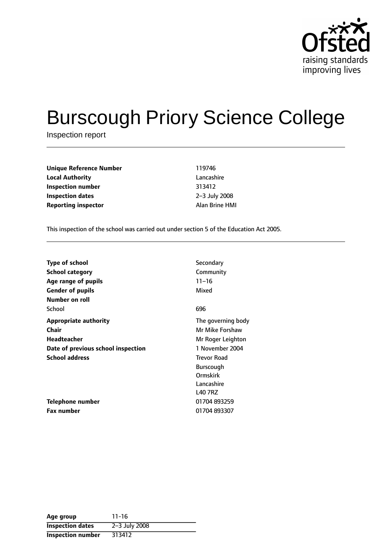

# Burscough Priory Science College

Inspection report

| <b>Unique Reference Number</b> | 119746    |
|--------------------------------|-----------|
| <b>Local Authority</b>         | Lancasl   |
| Inspection number              | 313412    |
| <b>Inspection dates</b>        | $2-3$ Jul |
| <b>Reporting inspector</b>     | Alan Br   |

**Lancashire Inspection number** 313412 **Inspection dates** 23 July 2008 **Reporting inspector** Alan Brine HMI

This inspection of the school was carried out under section 5 of the Education Act 2005.

| <b>Type of school</b>              | Secondary          |
|------------------------------------|--------------------|
| <b>School category</b>             | Community          |
| Age range of pupils                | $11 - 16$          |
| <b>Gender of pupils</b>            | Mixed              |
| Number on roll                     |                    |
| School                             | 696                |
| <b>Appropriate authority</b>       | The governing body |
| Chair                              | Mr Mike Forshaw    |
| <b>Headteacher</b>                 | Mr Roger Leighton  |
| Date of previous school inspection | 1 November 2004    |
| <b>School address</b>              | <b>Trevor Road</b> |
|                                    | Burscough          |
|                                    | Ormskirk           |
|                                    | Lancashire         |
|                                    | <b>L40 7RZ</b>     |
| Telephone number                   | 01704 893259       |
| <b>Fax number</b>                  | 01704 893307       |

| Age group                | $11 - 16$     |
|--------------------------|---------------|
| <b>Inspection dates</b>  | 2-3 July 2008 |
| <b>Inspection number</b> | 313412        |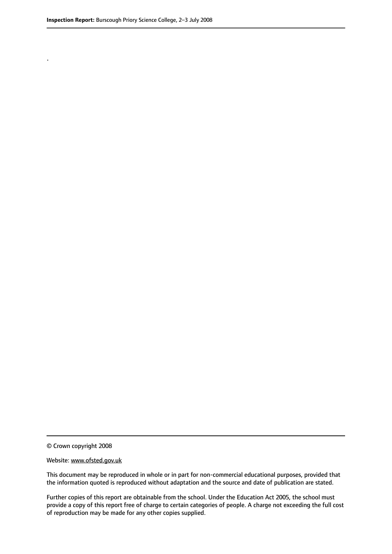.

© Crown copyright 2008

#### Website: www.ofsted.gov.uk

This document may be reproduced in whole or in part for non-commercial educational purposes, provided that the information quoted is reproduced without adaptation and the source and date of publication are stated.

Further copies of this report are obtainable from the school. Under the Education Act 2005, the school must provide a copy of this report free of charge to certain categories of people. A charge not exceeding the full cost of reproduction may be made for any other copies supplied.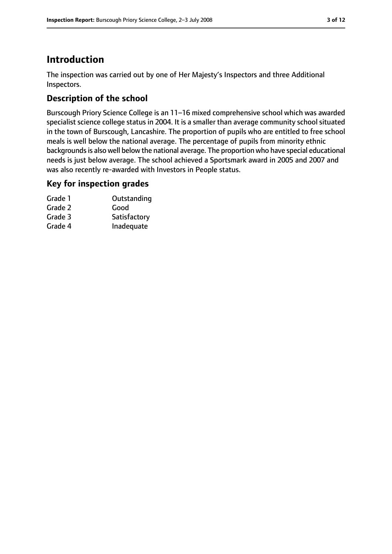# **Introduction**

The inspection was carried out by one of Her Majesty's Inspectors and three Additional Inspectors.

# **Description of the school**

Burscough Priory Science College is an 11-16 mixed comprehensive school which was awarded specialist science college status in 2004. It is a smaller than average community school situated in the town of Burscough, Lancashire. The proportion of pupils who are entitled to free school meals is well below the national average. The percentage of pupils from minority ethnic backgrounds is also well below the national average. The proportion who have special educational needs is just below average. The school achieved a Sportsmark award in 2005 and 2007 and was also recently re-awarded with Investors in People status.

#### **Key for inspection grades**

| Grade 1 | Outstanding  |
|---------|--------------|
| Grade 2 | Good         |
| Grade 3 | Satisfactory |
| Grade 4 | Inadequate   |
|         |              |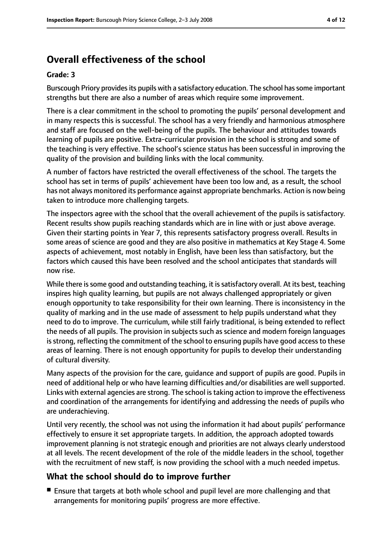# **Overall effectiveness of the school**

#### **Grade: 3**

Burscough Priory provides its pupils with a satisfactory education. The school has some important strengths but there are also a number of areas which require some improvement.

There is a clear commitment in the school to promoting the pupils' personal development and in many respects this is successful. The school has a very friendly and harmonious atmosphere and staff are focused on the well-being of the pupils. The behaviour and attitudes towards learning of pupils are positive. Extra-curricular provision in the school is strong and some of the teaching is very effective. The school's science status has been successful in improving the quality of the provision and building links with the local community.

A number of factors have restricted the overall effectiveness of the school. The targets the school has set in terms of pupils' achievement have been too low and, as a result, the school has not always monitored its performance against appropriate benchmarks. Action is now being taken to introduce more challenging targets.

The inspectors agree with the school that the overall achievement of the pupils is satisfactory. Recent results show pupils reaching standards which are in line with or just above average. Given their starting points in Year 7, this represents satisfactory progress overall. Results in some areas of science are good and they are also positive in mathematics at Key Stage 4. Some aspects of achievement, most notably in English, have been less than satisfactory, but the factors which caused this have been resolved and the school anticipates that standards will now rise.

While there is some good and outstanding teaching, it is satisfactory overall. At its best, teaching inspires high quality learning, but pupils are not always challenged appropriately or given enough opportunity to take responsibility for their own learning. There is inconsistency in the quality of marking and in the use made of assessment to help pupils understand what they need to do to improve. The curriculum, while still fairly traditional, is being extended to reflect the needs of all pupils. The provision in subjects such as science and modern foreign languages is strong, reflecting the commitment of the school to ensuring pupils have good access to these areas of learning. There is not enough opportunity for pupils to develop their understanding of cultural diversity.

Many aspects of the provision for the care, guidance and support of pupils are good. Pupils in need of additional help or who have learning difficulties and/or disabilities are well supported. Links with external agencies are strong. The school is taking action to improve the effectiveness and coordination of the arrangements for identifying and addressing the needs of pupils who are underachieving.

Until very recently, the school was not using the information it had about pupils' performance effectively to ensure it set appropriate targets. In addition, the approach adopted towards improvement planning is not strategic enough and priorities are not always clearly understood at all levels. The recent development of the role of the middle leaders in the school, together with the recruitment of new staff, is now providing the school with a much needed impetus.

## **What the school should do to improve further**

■ Ensure that targets at both whole school and pupil level are more challenging and that arrangements for monitoring pupils' progress are more effective.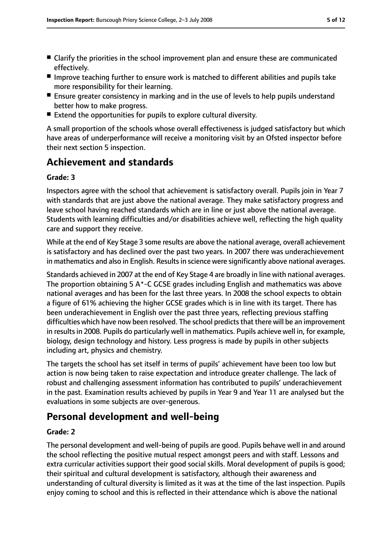- Clarify the priorities in the school improvement plan and ensure these are communicated effectively.
- Improve teaching further to ensure work is matched to different abilities and pupils take more responsibility for their learning.
- Ensure greater consistency in marking and in the use of levels to help pupils understand better how to make progress.
- Extend the opportunities for pupils to explore cultural diversity.

A small proportion of the schools whose overall effectiveness is judged satisfactory but which have areas of underperformance will receive a monitoring visit by an Ofsted inspector before their next section 5 inspection.

# **Achievement and standards**

#### **Grade: 3**

Inspectors agree with the school that achievement is satisfactory overall. Pupils join in Year 7 with standards that are just above the national average. They make satisfactory progress and leave school having reached standards which are in line or just above the national average. Students with learning difficulties and/or disabilities achieve well, reflecting the high quality care and support they receive.

While at the end of Key Stage 3 some results are above the national average, overall achievement is satisfactory and has declined over the past two years. In 2007 there was underachievement in mathematics and also in English. Results in science were significantly above national averages.

Standards achieved in 2007 at the end of Key Stage 4 are broadly in line with national averages. The proportion obtaining 5 A\*-C GCSE grades including English and mathematics was above national averages and has been for the last three years. In 2008 the school expects to obtain a figure of 61% achieving the higher GCSE grades which is in line with its target. There has been underachievement in English over the past three years, reflecting previous staffing difficulties which have now been resolved. The school predicts that there will be an improvement in results in 2008. Pupils do particularly well in mathematics. Pupils achieve well in, for example, biology, design technology and history. Less progress is made by pupils in other subjects including art, physics and chemistry.

The targets the school has set itself in terms of pupils' achievement have been too low but action is now being taken to raise expectation and introduce greater challenge. The lack of robust and challenging assessment information has contributed to pupils' underachievement in the past. Examination results achieved by pupils in Year 9 and Year 11 are analysed but the evaluations in some subjects are over-generous.

# **Personal development and well-being**

#### **Grade: 2**

The personal development and well-being of pupils are good. Pupils behave well in and around the school reflecting the positive mutual respect amongst peers and with staff. Lessons and extra curricular activities support their good social skills. Moral development of pupils is good; their spiritual and cultural development is satisfactory, although their awareness and understanding of cultural diversity is limited as it was at the time of the last inspection. Pupils enjoy coming to school and this is reflected in their attendance which is above the national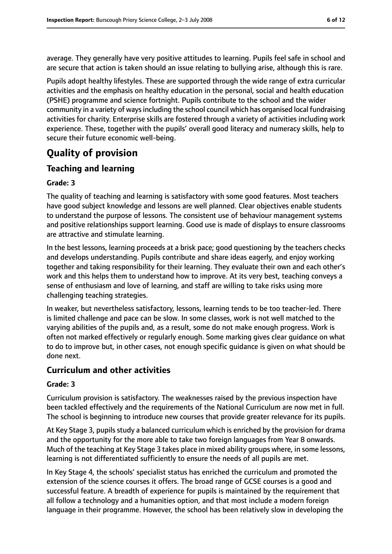average. They generally have very positive attitudes to learning. Pupils feel safe in school and are secure that action is taken should an issue relating to bullying arise, although this is rare.

Pupils adopt healthy lifestyles. These are supported through the wide range of extra curricular activities and the emphasis on healthy education in the personal, social and health education (PSHE) programme and science fortnight. Pupils contribute to the school and the wider community in a variety of ways including the school council which has organised local fundraising activities for charity. Enterprise skills are fostered through a variety of activities including work experience. These, together with the pupils' overall good literacy and numeracy skills, help to secure their future economic well-being.

# **Quality of provision**

## **Teaching and learning**

#### **Grade: 3**

The quality of teaching and learning is satisfactory with some good features. Most teachers have good subject knowledge and lessons are well planned. Clear objectives enable students to understand the purpose of lessons. The consistent use of behaviour management systems and positive relationships support learning. Good use is made of displays to ensure classrooms are attractive and stimulate learning.

In the best lessons, learning proceeds at a brisk pace; good questioning by the teachers checks and develops understanding. Pupils contribute and share ideas eagerly, and enjoy working together and taking responsibility for their learning. They evaluate their own and each other's work and this helps them to understand how to improve. At its very best, teaching conveys a sense of enthusiasm and love of learning, and staff are willing to take risks using more challenging teaching strategies.

In weaker, but nevertheless satisfactory, lessons, learning tends to be too teacher-led. There is limited challenge and pace can be slow. In some classes, work is not well matched to the varying abilities of the pupils and, as a result, some do not make enough progress. Work is often not marked effectively or regularly enough. Some marking gives clear guidance on what to do to improve but, in other cases, not enough specific guidance is given on what should be done next.

#### **Curriculum and other activities**

#### **Grade: 3**

Curriculum provision is satisfactory. The weaknesses raised by the previous inspection have been tackled effectively and the requirements of the National Curriculum are now met in full. The school is beginning to introduce new courses that provide greater relevance for its pupils.

At Key Stage 3, pupils study a balanced curriculum which is enriched by the provision for drama and the opportunity for the more able to take two foreign languages from Year 8 onwards. Much of the teaching at Key Stage 3 takes place in mixed ability groups where, in some lessons, learning is not differentiated sufficiently to ensure the needs of all pupils are met.

In Key Stage 4, the schools' specialist status has enriched the curriculum and promoted the extension of the science courses it offers. The broad range of GCSE courses is a good and successful feature. A breadth of experience for pupils is maintained by the requirement that all follow a technology and a humanities option, and that most include a modern foreign language in their programme. However, the school has been relatively slow in developing the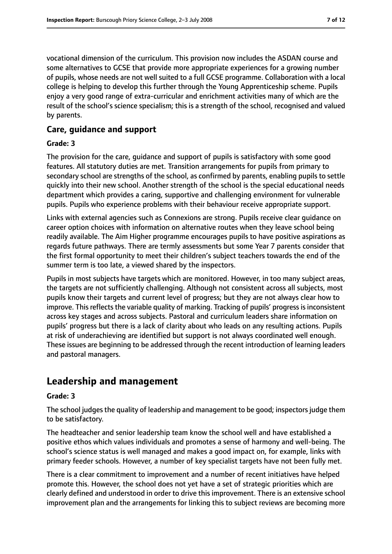vocational dimension of the curriculum. This provision now includes the ASDAN course and some alternatives to GCSE that provide more appropriate experiences for a growing number of pupils, whose needs are not well suited to a full GCSE programme. Collaboration with a local college is helping to develop this further through the Young Apprenticeship scheme. Pupils enjoy a very good range of extra-curricular and enrichment activities many of which are the result of the school's science specialism; this is a strength of the school, recognised and valued by parents.

#### **Care, guidance and support**

#### **Grade: 3**

The provision for the care, guidance and support of pupils is satisfactory with some good features. All statutory duties are met. Transition arrangements for pupils from primary to secondary school are strengths of the school, as confirmed by parents, enabling pupils to settle quickly into their new school. Another strength of the school is the special educational needs department which provides a caring, supportive and challenging environment for vulnerable pupils. Pupils who experience problems with their behaviour receive appropriate support.

Links with external agencies such as Connexions are strong. Pupils receive clear guidance on career option choices with information on alternative routes when they leave school being readily available. The Aim Higher programme encourages pupils to have positive aspirations as regards future pathways. There are termly assessments but some Year 7 parents consider that the first formal opportunity to meet their children's subject teachers towards the end of the summer term is too late, a viewed shared by the inspectors.

Pupils in most subjects have targets which are monitored. However, in too many subject areas, the targets are not sufficiently challenging. Although not consistent across all subjects, most pupils know their targets and current level of progress; but they are not always clear how to improve. This reflects the variable quality of marking. Tracking of pupils' progress is inconsistent across key stages and across subjects. Pastoral and curriculum leaders share information on pupils' progress but there is a lack of clarity about who leads on any resulting actions. Pupils at risk of underachieving are identified but support is not always coordinated well enough. These issues are beginning to be addressed through the recent introduction of learning leaders and pastoral managers.

# **Leadership and management**

#### **Grade: 3**

The school judges the quality of leadership and management to be good; inspectors judge them to be satisfactory.

The headteacher and senior leadership team know the school well and have established a positive ethos which values individuals and promotes a sense of harmony and well-being. The school's science status is well managed and makes a good impact on, for example, links with primary feeder schools. However, a number of key specialist targets have not been fully met.

There is a clear commitment to improvement and a number of recent initiatives have helped promote this. However, the school does not yet have a set of strategic priorities which are clearly defined and understood in order to drive this improvement. There is an extensive school improvement plan and the arrangements for linking this to subject reviews are becoming more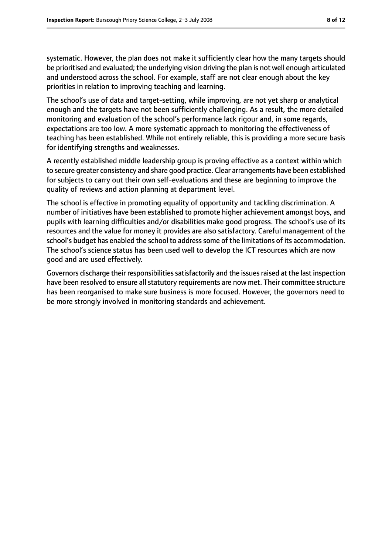systematic. However, the plan does not make it sufficiently clear how the many targets should be prioritised and evaluated; the underlying vision driving the plan is not well enough articulated and understood across the school. For example, staff are not clear enough about the key priorities in relation to improving teaching and learning.

The school's use of data and target-setting, while improving, are not yet sharp or analytical enough and the targets have not been sufficiently challenging. As a result, the more detailed monitoring and evaluation of the school's performance lack rigour and, in some regards, expectations are too low. A more systematic approach to monitoring the effectiveness of teaching has been established. While not entirely reliable, this is providing a more secure basis for identifying strengths and weaknesses.

A recently established middle leadership group is proving effective as a context within which to secure greater consistency and share good practice. Clear arrangements have been established for subjects to carry out their own self-evaluations and these are beginning to improve the quality of reviews and action planning at department level.

The school is effective in promoting equality of opportunity and tackling discrimination. A number of initiatives have been established to promote higher achievement amongst boys, and pupils with learning difficulties and/or disabilities make good progress. The school's use of its resources and the value for money it provides are also satisfactory. Careful management of the school's budget has enabled the school to address some of the limitations of its accommodation. The school's science status has been used well to develop the ICT resources which are now good and are used effectively.

Governors discharge their responsibilities satisfactorily and the issues raised at the last inspection have been resolved to ensure all statutory requirements are now met. Their committee structure has been reorganised to make sure business is more focused. However, the governors need to be more strongly involved in monitoring standards and achievement.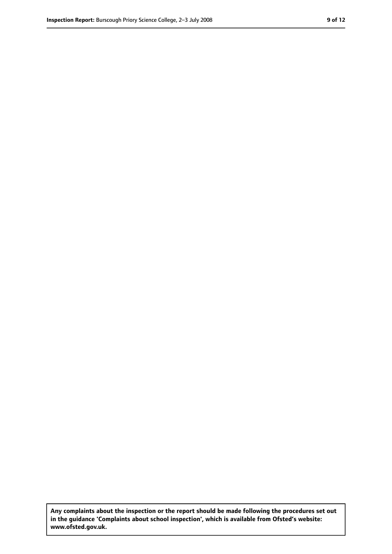**Any complaints about the inspection or the report should be made following the procedures set out in the guidance 'Complaints about school inspection', which is available from Ofsted's website: www.ofsted.gov.uk.**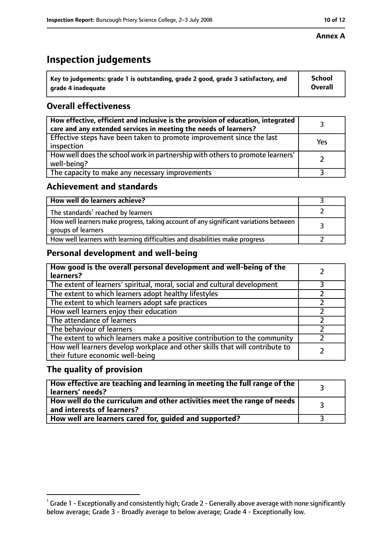# **Inspection judgements**

| $^{\backprime}$ Key to judgements: grade 1 is outstanding, grade 2 good, grade 3 satisfactory, and | <b>School</b>  |
|----------------------------------------------------------------------------------------------------|----------------|
| arade 4 inadeguate                                                                                 | <b>Overall</b> |

## **Overall effectiveness**

| How effective, efficient and inclusive is the provision of education, integrated<br>care and any extended services in meeting the needs of learners? |     |
|------------------------------------------------------------------------------------------------------------------------------------------------------|-----|
| Effective steps have been taken to promote improvement since the last<br>inspection                                                                  | Yes |
| How well does the school work in partnership with others to promote learners'<br>well-being?                                                         |     |
| The capacity to make any necessary improvements                                                                                                      |     |

## **Achievement and standards**

| How well do learners achieve?                                                                               |  |
|-------------------------------------------------------------------------------------------------------------|--|
| The standards <sup>1</sup> reached by learners                                                              |  |
| How well learners make progress, taking account of any significant variations between<br>groups of learners |  |
| How well learners with learning difficulties and disabilities make progress                                 |  |

# **Personal development and well-being**

| How good is the overall personal development and well-being of the<br>learners?                                  |  |
|------------------------------------------------------------------------------------------------------------------|--|
| The extent of learners' spiritual, moral, social and cultural development                                        |  |
| The extent to which learners adopt healthy lifestyles                                                            |  |
| The extent to which learners adopt safe practices                                                                |  |
| How well learners enjoy their education                                                                          |  |
| The attendance of learners                                                                                       |  |
| The behaviour of learners                                                                                        |  |
| The extent to which learners make a positive contribution to the community                                       |  |
| How well learners develop workplace and other skills that will contribute to<br>their future economic well-being |  |

## **The quality of provision**

| $\mid$ How effective are teaching and learning in meeting the full range of the $\mid$<br>learners' needs? |  |
|------------------------------------------------------------------------------------------------------------|--|
| How well do the curriculum and other activities meet the range of needs  <br>and interests of learners?    |  |
| How well are learners cared for, guided and supported?                                                     |  |

 $^1$  Grade 1 - Exceptionally and consistently high; Grade 2 - Generally above average with none significantly below average; Grade 3 - Broadly average to below average; Grade 4 - Exceptionally low.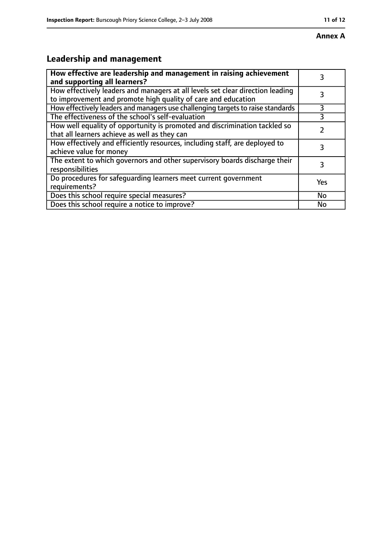# **Leadership and management**

| How effective are leadership and management in raising achievement<br>and supporting all learners?                                              |     |
|-------------------------------------------------------------------------------------------------------------------------------------------------|-----|
| How effectively leaders and managers at all levels set clear direction leading<br>to improvement and promote high quality of care and education |     |
| How effectively leaders and managers use challenging targets to raise standards                                                                 | 3   |
| The effectiveness of the school's self-evaluation                                                                                               |     |
| How well equality of opportunity is promoted and discrimination tackled so<br>that all learners achieve as well as they can                     |     |
| How effectively and efficiently resources, including staff, are deployed to<br>achieve value for money                                          | 3   |
| The extent to which governors and other supervisory boards discharge their<br>responsibilities                                                  | 3   |
| Do procedures for safequarding learners meet current government<br>requirements?                                                                | Yes |
| Does this school require special measures?                                                                                                      | No  |
| Does this school require a notice to improve?                                                                                                   | No  |